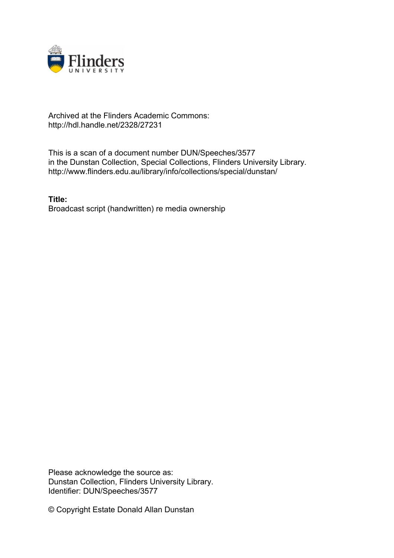

## Archived at the Flinders Academic Commons: http://hdl.handle.net/2328/27231

This is a scan of a document number DUN/Speeches/3577 in the Dunstan Collection, Special Collections, Flinders University Library. http://www.flinders.edu.au/library/info/collections/special/dunstan/

**Title:** Broadcast script (handwritten) re media ownership

Please acknowledge the source as: Dunstan Collection, Flinders University Library. Identifier: DUN/Speeches/3577

© Copyright Estate Donald Allan Dunstan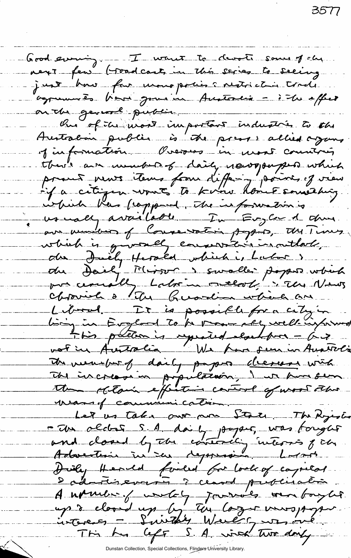Good evening. I want to devote some of che next few (toad carts in this series to seeing just how for usono polis i restriction trade agremmes have jour in Austonie - i le effect on the general public \_\_\_\_\_\_ Our of the word important industries to the Australian public is the press allied against of information Overses in most countris there am monter of daily newspapers which<br>proud news items from differing sociol of view which they frappened, The information is us mally available - In Evyler 1 dans ave municien of Coure vation paper, the Times which is givenel encourant in outbot. Liberal It is possible for a city in Ling in England To be move ally well informed t tis patter is repeated clochters - 67<br>vot in Australia We have seen in Australia<br>The increase in population, I is have seen the claim effection control of wood the wand communication. an<br>Albanya di Santan Pangangan Pangangan Pangangan Pangangan Pangangan Pangangan Pangangan Pangangan Pangangan Pan<br>Pangangan Pangangan Pangangan Pangangan Pangangan Pangangan Pangangan Pangangan Pangangan Pangangan Pangang Let us take our an State The Ryisis - The oldes S.A. daily paper, was toright and closed by the contexting interns pich Huiley Hended forled for look of capital. Dadnotisevant i ceased publication Anxiet fundet jarrols om boyler up à closed up by tou lazer verspoper This has left S. A. with two day -

3577

Dunstan Collection, Special Collections, Flinders University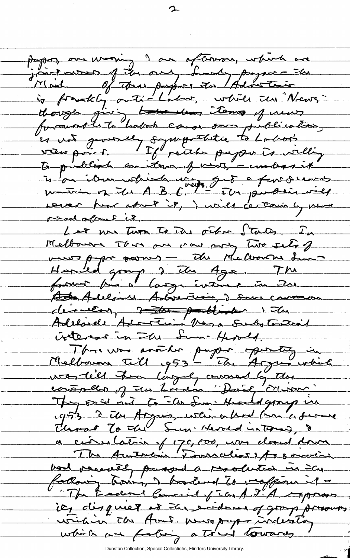paper, one worning I am oftenware, which are joint mons of the one, fundy payme - the is provably anti-Labor, while the News though giving to the most important et vot generally sympathetic to Labor. to publish an itera of vives, - unless it is on it would write to a favorieres were har about it, I will certainly me road about it. Les mes Turn To une octer States In Melbourne Iber pre mon may two sets of we come paper parmers - The Melbourne Lun Hended group, 2 The Age. The france par la gréverie in me Ada Alloin Adarerum, 2 sur common derneer, the published 1 the Adelaide Arcontin Vasa Substantial interest in The Lumi Herold. Melbourn Till 1953 - The Argumentien contreller of the Lordon "Daily Misson" They sold out to Els Sun. Hundedgroup in 1953 - 2 th Argus, when a hod man a former Thrac To the Sun Herold interned, 8 a civilation of 170,000, was dond down The Autocin Tornalist 1/3 souven bod receil paged a resolution in Cap Colony terry, I have tend to responsible "The Eadered Commil of ICA J"A reprover ieg disqueer at the evidence of grap provents writin in the Arms were preparaisables which we footing a trund towards

Dunstan Collection, Special Collections, Flinders University Library.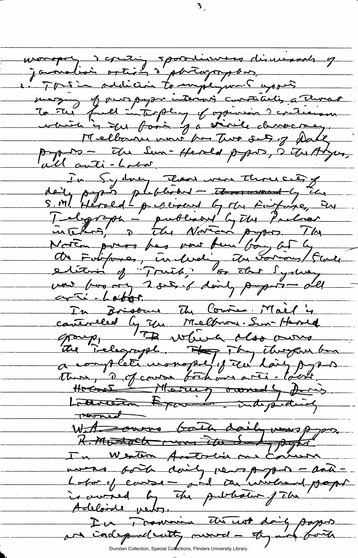wonopoly a counting spoonline dismissed of jamalisi ostisis à partographes. en Tous in addition to implyment appels mary of mos payon interes constituting Thereo To the full interplay of opinion ? criticism Melbourne work from Two sets of Dake papers - Une Sun-Herold paper, à Un Adyun, In Sydney Then were thruce of daily paper photodoment to the finishing in Telgreph - published by The Policer<br>intellig 2 The Norton paper. The<br>Notion press has now fun boy of 4<br>and his ory 2 see of doing paper-old arti-Loton In Brigour M Course Mall'y controlled by The Melbrone. Sur Harold group, 1Th which close wing the Telegraph. How They They ben Hocant Maring owned for the With curve bath daily was ppm. In Western Antoncia me Comment wons folk doing very payper - antiis owned by the public file Adeloide perty. In Traversie the took daily papers an independently munici-thy and both Dunstan Collection, Special Collections, Flinders University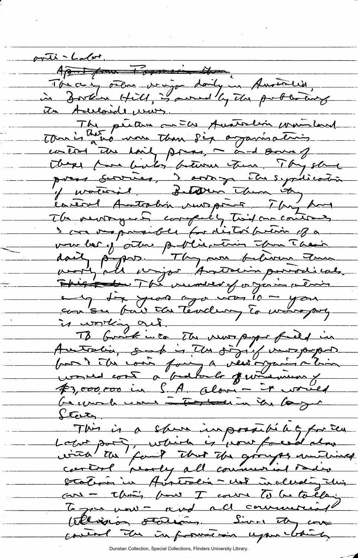<u> suite - Labot.</u> April pour l'opperaine donne The case others wingon daily in Australian, in Zorken Hill, is awned by the publishing its Aucoide uns The petern an Els Australin municipal control the hairly proses, me and some of There for bules between them. They should press services, i antony Els septications The newspapers computy Twist one contracts I can verposeder for distorption of a vou ber y otre partie toin Tra Their<br>daily papos. They are believe tour  $\overline{\phantom{a}}$ This to The number of or just a living any dix years ago was 10 - you consu par ca Teodur, la margary is working out. TB bound into The news paper field in Australia, such is the significations from t ille contra faire la vées organisation #3,000,000 in S.A. alon - it would be you have interfered in in large States. This is a shore impossible of for sen Labor port, which is pour forced alone with the fourt that the goinger untimed Station in Australia - not including this cars - this how I course To be talking To gove mont and all commercial tilliger states Live they was control the information upon chick

Dunstan Collection, Special Collections, Flinders University Library.